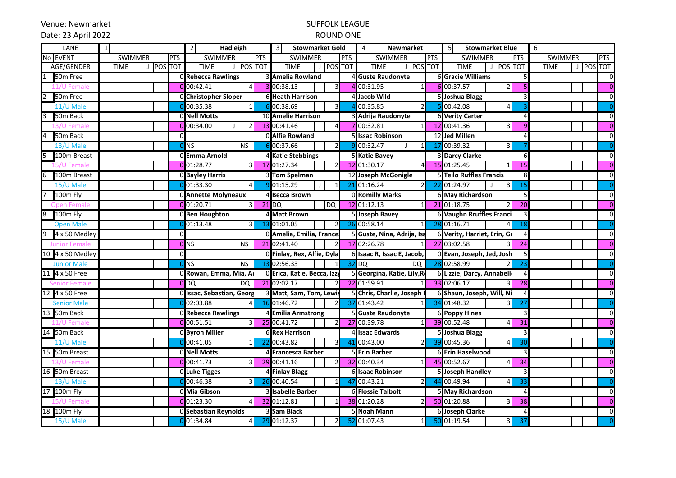Venue: Newmarket

# SUFFOLK LEAGUE

## Date: 23 April 2022

### ROUND ONE

| LANE                                   | 1              | <b>Hadleigh</b><br>$\overline{2}$ |            |                              | <b>Stowmarket Gold</b><br>3I |                   | <b>Newmarket</b><br>4           |                          | 5 <sub>l</sub><br><b>Stowmarket Blue</b> |                  | 6                                     |            |                              |           |
|----------------------------------------|----------------|-----------------------------------|------------|------------------------------|------------------------------|-------------------|---------------------------------|--------------------------|------------------------------------------|------------------|---------------------------------------|------------|------------------------------|-----------|
| No EVENT                               | <b>SWIMMER</b> |                                   | <b>PTS</b> | <b>SWIMMER</b><br><b>PTS</b> |                              |                   | <b>SWIMMER</b><br><b>PTS</b>    |                          | <b>PTS</b><br><b>SWIMMER</b>             |                  | <b>SWIMMER</b>                        | <b>PTS</b> | <b>SWIMMER</b><br><b>PTS</b> |           |
| AGE/GENDER                             | <b>TIME</b>    | J POS TOT                         |            | <b>TIME</b>                  | J POS TOT                    |                   | J POS TOT<br><b>TIME</b>        |                          | J POS TOT<br><b>TIME</b>                 |                  | J POS TOT<br><b>TIME</b>              |            | <b>TIME</b>                  | J POS TOT |
| 50m Free                               |                |                                   |            | 0 Rebecca Rawlings           |                              |                   | 3 Amelia Rowland                |                          | 4 Guste Raudonyte                        |                  | <b>6</b> Gracie Williams              |            |                              |           |
| 11/U Femal                             |                |                                   |            | $0$ <sub>00:42.41</sub>      |                              |                   | 00:38.13<br>3                   |                          | 00:31.95                                 | 6                | 00:37.57                              |            |                              |           |
| 50 <sub>m</sub> Free<br>$\overline{2}$ |                |                                   |            | 0 Christopher Sloper         |                              |                   | <b>6 Heath Harrison</b>         |                          | Jacob Wild                               |                  | 5 Joshua Blagg                        |            |                              |           |
| 11/U Male                              |                |                                   |            | 00:35.38                     | $\overline{1}$               |                   | 6 00:38.69<br>$\overline{3}$    |                          | 00:35.85<br>$\overline{2}$               |                  | 00:42.08<br>$\overline{4}$            |            |                              |           |
| 50m Back                               |                |                                   |            | <b>ONell Motts</b>           |                              |                   | 10 Amelie Harrison              |                          | 3 Adrija Raudonyte                       |                  | <b>6 Verity Carter</b>                |            |                              |           |
| <b>13/U Female</b>                     |                |                                   |            | 00:34.00                     | $\overline{2}$<br>J.         |                   | 13 00:41.46<br>$\overline{4}$   |                          | $00:32.\overline{81}$                    |                  | 12 00:41.36<br>3                      |            |                              |           |
| 50m Back                               |                |                                   |            |                              |                              |                   | O Alfie Rowland                 |                          | 5 Issac Robinson                         |                  | 12 Jed Millen                         |            |                              |           |
| 13/U Male                              |                |                                   |            | <b>NS</b>                    | <b>NS</b>                    |                   | 00:37.66<br>$\overline{2}$      |                          | 00:32.47                                 | 17               | 00:39.32<br>3                         |            |                              |           |
| 100m Breast                            |                |                                   |            | 0 Emma Arnold                |                              |                   | 4 Katie Stebbings               |                          | 5 Katie Bavey                            |                  | <b>3 Darcy Clarke</b>                 |            |                              |           |
| L5/U Female                            |                |                                   |            | $0$ 01:28.77                 | $\overline{\mathsf{3}}$      |                   | 17 01:27.34<br>$\overline{2}$   |                          | 12 01:30.17<br>4                         |                  | 15 01:25.45<br>$\mathbf 1$            | 15         |                              |           |
| 100m Breast                            |                |                                   |            | 0 Bayley Harris              |                              |                   | 3 Tom Spelman                   |                          | 12 Joseph McGonigle                      |                  | 5 Teilo Ruffles Francis               |            |                              |           |
| 15/U Male                              |                |                                   |            | 01:33.30                     | 4                            |                   | 01:15.29<br>$\perp$<br>$1\vert$ | 21                       | 01:16.24<br>$\overline{2}$               | 22               | 01:24.97<br>$\overline{3}$<br>$\perp$ | 15         |                              |           |
| 100m Fly                               |                |                                   |            | 0 Annette Molyneaux          |                              |                   | 4 Becca Brown                   |                          | 0 Romilly Marks                          |                  | 6 May Richardson                      |            |                              |           |
|                                        |                |                                   |            | $0$ 01:20.71                 | 3 <sup>l</sup>               |                   | DQ<br>$21$ DQ                   |                          | 12 01:12.13<br>1                         |                  | 21 01:18.75<br>$\overline{2}$         | 20         |                              |           |
| 100m Fly                               |                |                                   |            | 0 Ben Houghton               |                              |                   | 4 Matt Brown                    |                          | 5 Joseph Bavey                           |                  | <b>6 Vaughn Rruffles Franci</b>       |            |                              |           |
| <b>Open Male</b>                       |                |                                   |            | 01:13.48                     | 3 <sup>l</sup>               | -13               | 01:01.05<br>$\overline{2}$      |                          | 26 00:58.14<br>$\mathbf{1}$              |                  | 28 01:16.71<br>$\overline{4}$         | 18         |                              |           |
| 4 x 50 Medley<br>9                     |                |                                   |            |                              |                              |                   | 0 Amelia, Emilia, Frances       |                          | 5 Guste, Nina, Adrija, Isa               |                  | 6 Verity, Harriet, Erin, Gr           |            |                              |           |
| <b>Junior Femal</b>                    |                |                                   |            | $0$ NS                       | <b>NS</b>                    |                   | 21 02:41.40<br>$\overline{2}$   |                          | 17 02:26.78                              |                  | 27 03:02.58                           | 24         |                              |           |
| 10 4 x 50 Medley                       |                |                                   |            |                              |                              |                   | 0 Finlay, Rex, Alfie, Dylar     |                          | 6 Isaac R, Issac E, Jacob,               |                  | 0 Evan, Joseph, Jed, Josh             |            |                              |           |
| <b>Junior Male</b>                     |                |                                   |            | <b>INS</b>                   | <b>NS</b>                    |                   | 13 02:56.33<br>1 <sup>1</sup>   |                          | $32$ <sub>DQ</sub><br><b>DQ</b>          |                  | 28 02:58.99                           | 23         |                              |           |
| 11 4 x 50 Free                         |                |                                   |            | 0 Rowan, Emma, Mia, Ar       |                              |                   | 0 Erica, Katie, Becca, Izzy     |                          | 5 Georgina, Katie, Lily, Ro              |                  | 6 Lizzie, Darcy, Annabell             |            |                              |           |
| Senior Femal                           |                |                                   |            | 0 <sub>DO</sub>              | ldQ                          |                   | 21 02:02.17<br>$\overline{2}$   |                          | 22 01:59.91                              |                  | 33 02:06.17                           | 28         |                              |           |
| 12 4 x 50 Free                         |                |                                   |            | 0 Issac, Sebastian, Georg    |                              |                   | 3 Matt, Sam, Tom, Lewis         |                          | 5 Chris, Charlie, Joseph N               |                  | 6 Shaun, Joseph, Will, Ni             |            |                              |           |
| <b>Senior Male</b>                     |                |                                   |            | 02:03.88                     | $\overline{4}$               |                   | 16 01:46.72<br>$\overline{2}$   |                          | 37 01:43.42                              |                  | 34 01:48.32<br>3                      | 27         |                              |           |
| 13 50m Back                            |                |                                   |            | 0 Rebecca Rawlings           |                              |                   | 4 Emilia Armstrong              |                          | 5 Guste Raudonyte                        |                  | <b>6 Poppy Hines</b>                  |            |                              |           |
| 11/U Female                            |                |                                   |            | $0$ <sub>00:51.51</sub>      | 3 <sup>l</sup>               |                   | 25 00:41.72<br>$\overline{2}$   |                          | 27 00:39.78                              |                  | 39 00:52.48<br>$\Delta$               | 31         |                              |           |
| 14 50m Back                            |                |                                   |            | <b>Byron Miller</b>          |                              |                   | <b>6 Rex Harrison</b>           |                          | 4 Issac Edwards                          |                  | 5 Joshua Blagg                        |            |                              |           |
| 11/U Male                              |                |                                   |            | 00:41.05                     |                              |                   | 00:43.82<br>3                   |                          | 00:43.00<br>$\mathfrak{p}$               |                  | 39 00:45.36<br>$\Delta$               | 30         |                              |           |
| 15 50m Breast                          |                |                                   |            | 0 Nell Motts                 |                              |                   | 4 Francesca Barber              |                          | Erin Barber                              |                  | 6 Erin Haselwood                      |            |                              |           |
| 13/U Female                            |                |                                   |            | 0 00:41.73                   | $\overline{3}$               |                   | 29 00:41.16<br>$\overline{2}$   |                          | 32 00:40.34                              |                  | 45 00:52.67<br>4                      | 34         |                              |           |
| 16 50m Breast                          |                |                                   |            | <b>O</b> Luke Tigges         |                              |                   | 4 Finlay Blagg                  |                          | <b>6 Isaac Robinson</b>                  |                  | 5 Joseph Handley                      |            |                              |           |
| 13/U Male                              |                |                                   |            | 00:46.38                     | 3                            | 26                | 00:40.54<br>$1\vert$            | 47                       | 00:43.21<br>$\overline{2}$               |                  | 44 00:49.94<br>4                      | 33         |                              |           |
| 17 100m Fly                            |                |                                   |            | 0 Mia Gibson                 |                              | 3 Isabelle Barber |                                 | <b>6 Flossie Talbolt</b> |                                          | 5 May Richardson | $\prime$                              |            |                              |           |
|                                        |                |                                   |            | $0$ 01:23.30                 | 4 <sup>1</sup>               |                   | 32 01:12.81<br>$1\vert$         |                          | 38 01:20.28<br>2                         |                  | 50 01:20.88<br>3                      | 38         |                              |           |
| 18 100m Fly                            |                |                                   |            | 0 Sebastian Reynolds         |                              |                   | 3 Sam Black                     |                          | 5 Noah Mann                              |                  | 6 Joseph Clarke                       |            |                              |           |
| 15/U Male                              |                |                                   |            | 01:34.84                     | $\overline{4}$               |                   | 29 01:12.37<br>$\overline{2}$   |                          | 52 01:07.43                              |                  | 50 01:19.54<br>3                      | 37         |                              |           |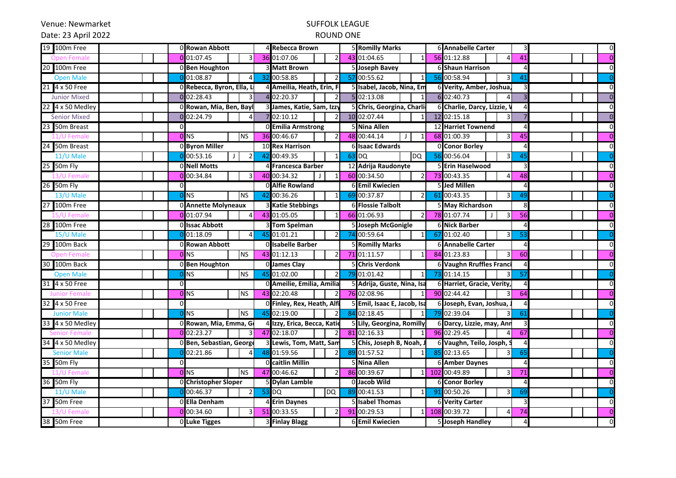Venue: Newmarket

# SUFFOLK LEAGUE

### Date: 23 April 2022

### ROUND ONE

| 100m Free<br>19           |          | 0 Rowan Abbott                 |    | 4 Rebecca Brown                             |     | <b>5 Romilly Marks</b>        | <b>6 Annabelle Carter</b>       |    |  |
|---------------------------|----------|--------------------------------|----|---------------------------------------------|-----|-------------------------------|---------------------------------|----|--|
| -Fema                     |          | 01:07.45                       |    | 36 01:07.06<br>$\overline{\mathcal{L}}$     |     | 43 01:04.65<br>$\mathbf{1}$   | 56 01:12.88<br>$\Delta$         | 41 |  |
| 100m Free<br>20           |          | 0 Ben Houghton                 |    | <b>Matt Brown</b>                           |     | <b>Joseph Bavey</b>           | <b>6 Shaun Harrison</b>         |    |  |
| <b>Open Male</b>          |          | 01:08.87                       |    | 00:58.85<br>$\overline{2}$                  | 57  | 00:55.62<br>$\mathbf{1}$      | 56 00:58.94<br>3                | 41 |  |
| 4 x 50 Free               |          | 0 Rebecca, Byron, Ella, L      |    | 4 Ameilia, Heath, Erin, Fi                  |     | 5 Isabel, Jacob, Nina, Em     | 6 Verity, Amber, Joshua,        |    |  |
| Junior Mixed              |          | $0$ <sub>02:28.43</sub>        |    | 4 02:20.37                                  |     | 02:13.08<br>$\mathbf{1}$      | 6 02:40.73                      |    |  |
| 22 4 x 50 Medley          |          | 0 Rowan, Mia, Ben, Bayl        |    | 3 James, Katie, Sam, Izzy                   |     | 5 Chris, Georgina, Charli     | 6 Charlie, Darcy, Lizzie, \     |    |  |
| <b>Senior Mixed</b>       |          | 02:24.79<br>$\Delta$           |    | 702:10.12<br>$\overline{2}$                 |     | 10 02:07.44<br>$\mathbf{1}$   | 12 02:15.18<br>$\overline{3}$   |    |  |
| 50m Breast                | $\Omega$ |                                |    | 0 Emilia Armstrong                          |     | 5 Nina Allen                  | 12 Harriet Townend              |    |  |
|                           |          | 0 <sup>NS</sup><br><b>NS</b>   |    | 36 00:46.67<br>$\overline{2}$               |     | 48 00:44.14<br>$\perp$<br>1   | 68 01:00.39<br>$\overline{3}$   | 45 |  |
| 50m Breast                |          | 0 Byron Miller                 |    | <b>10 Rex Harrison</b>                      |     | 6llsaac Edwards               | 0 Conor Borley                  |    |  |
| $11/U$ Male               |          | 00:53.16<br>$\mathfrak{p}$     | 42 | 00:49.35<br>$\mathbf{1}$                    |     | 63 DQ<br><b>DQ</b>            | 56 00:56.04<br>3                | 45 |  |
| 50m Fly<br>25             |          | <b>ONell Motts</b>             |    | 4 Francesca Barber                          |     | 12 Adrija Raudonyte           | <b>5 Erin Haselwood</b>         |    |  |
| 13/U Female               |          | 00:34.84<br>31                 |    | 40 00:34.32<br>$\mathbf{1}$<br>$\mathbf{I}$ |     | 60 00:34.50<br>2              | 73 00:43.35<br>4                | 48 |  |
| 26 50m Fly                |          |                                |    | O Alfie Rowland                             |     | <b>6 Emil Kwiecien</b>        | 5 Jed Millen                    |    |  |
| 13/U Male                 |          | <b>NS</b><br><b>NS</b>         | 42 | 00:36.26<br>$1\vert$                        | -69 | 00:37.87<br>2                 | 61 00:43.35<br>3                | 49 |  |
| 100m Free<br>27           |          | 0 Annette Molyneaux            |    | 3 Katie Stebbings                           |     | <b>6 Flossie Talbolt</b>      | 5 May Richardson                |    |  |
|                           |          | $0$ 01:07.94<br>4 <sup>1</sup> |    | 43 01:05.05<br>$1\vert$                     |     | 66 01:06.93<br>$\overline{2}$ | 78 01:07.74<br>3                | 56 |  |
| 28 100m Free              |          | 0 Issac Abbott                 |    | 3 Tom Spelman                               |     | 5 Joseph McGonigle            | <b>6 Nick Barber</b>            |    |  |
| 15/U Male                 |          | 01:18.09<br>4                  |    | 01:01.21<br>$\overline{2}$                  |     | 00:59.64<br>$\mathbf{1}$      | 67 01:02.40<br>3                | 53 |  |
| 100m Back                 |          | ORowan Abbott                  |    | Olisabelle Barber                           |     | <b>5 Romilly Marks</b>        | <b>6 Annabelle Carter</b>       |    |  |
| oen Female                |          | 0 <sub>N</sub><br><b>NS</b>    |    | 43 01:12.13<br>$\overline{2}$               |     | 71 01:11.57<br>1              | 84 01:23.83<br>3                | 60 |  |
| 100m Back<br>30           |          | 0 Ben Houghton                 |    | 0 James Clay                                |     | <b>Chris Verdonk</b>          | <b>6 Vaughn Rruffles Franci</b> |    |  |
| <b>Open Male</b>          |          | <b>NS</b><br><b>NS</b>         |    | 45 01:02.00<br>$\overline{2}$               |     | 01:01.42<br>$\mathbf{1}$      | 73 01:14.15<br>3                | 57 |  |
| 4 x 50 Free               | $\Omega$ |                                |    | 0 Ameilie, Emilia, Amilia                   |     | 5 Adrija, Guste, Nina, Isa    | 6 Harriet, Gracie, Verity,      |    |  |
| <b>Junior Female</b>      |          | <b>NS</b><br>0 <sub>N</sub>    |    | 43 02:20.48<br>$\overline{2}$               |     | 76 02:08.96                   | 90 02:44.42<br>3                | 64 |  |
| 32 4 x 50 Free            | $\Omega$ |                                |    | 0 Finley, Rex, Heath, Alfi                  |     | 5 Emil, Isaac E, Jacob, Isa   | 6 Joseph, Evan, Joshua,         |    |  |
| <b>Junior Male</b>        |          | <b>NS</b><br><b>INS</b>        |    | 45 02:19.00<br>$\overline{2}$               |     | 84 02:18.45<br>1              | 79 02:39.04<br>$\overline{3}$   | 61 |  |
| 4 x 50 Medley             |          | 0 Rowan, Mia, Emma, G          |    | 4 Izzy, Erica, Becca, Katie                 |     | 5 Lily, Georgina, Romilly     | 6 Darcy, Lizzie, may, Ann       |    |  |
| <b>Senior Femal</b>       |          | 02:23.27<br>$\overline{3}$     |    | 47 02:18.07<br>$\overline{2}$               |     | 81 02:16.33<br>$\mathbf{1}$   | 96 02:29.45<br>4                | 67 |  |
| 4 x 50 Medley             |          | 0 Ben, Sebastian, George       |    | 3 Lewis, Tom, Matt, Sam                     |     | 5 Chis, Joseph B, Noah, J     | 6 Vaughn, Teilo, Josph, S       |    |  |
| <b>Senior Male</b>        |          | 02:21.86                       |    | 48 01:59.56<br>$\overline{2}$               | 89  | 01:57.52<br>$\mathbf{1}$      | 85 02:13.65<br>3                | 65 |  |
| 50 <sub>m</sub> Fly<br>35 | ΩI       |                                |    | O <b>l</b> caitlin Millin                   |     | 5 Nina Allen                  | <b>6 Amber Daynes</b>           |    |  |
| 1/U Female                |          | <b>NS</b><br>$0$ NS            |    | 47 00:46.62<br>$\overline{2}$               |     | 86 00:39.67<br>$\mathbf{1}$   | 102 00:49.89<br>3               | 71 |  |
| 36 50m Fly                |          | 0 Christopher Sloper           |    | 5 Dylan Lamble                              |     | 0 Jacob Wild                  | <b>6 Conor Borley</b>           |    |  |
| 11/U Male                 |          | 00:46.37<br>$\overline{2}$     |    | 53 DQ<br><b>DQ</b>                          | 89  | 00:41.53<br>$\mathbf{1}$      | 91 00:50.26<br>3                | 69 |  |
| 50m Free<br>37            |          | 0 Ella Denham                  |    | 4 Erin Daynes                               |     | 5 Isabel Thomas               | <b>6 Verity Carter</b>          |    |  |
|                           |          | $0$ 00:34.60<br>3 <sup>l</sup> |    | 51 00:33.55<br>$\overline{2}$               |     | 91 00:29.53<br>$\mathbf{1}$   | 108 00:39.72<br>$\overline{4}$  | 74 |  |
| 38 50m Free               |          | 0 Luke Tigges                  |    | 3 Finlay Blagg                              |     | 6 Emil Kwiecien               | 5 Joseph Handley                |    |  |